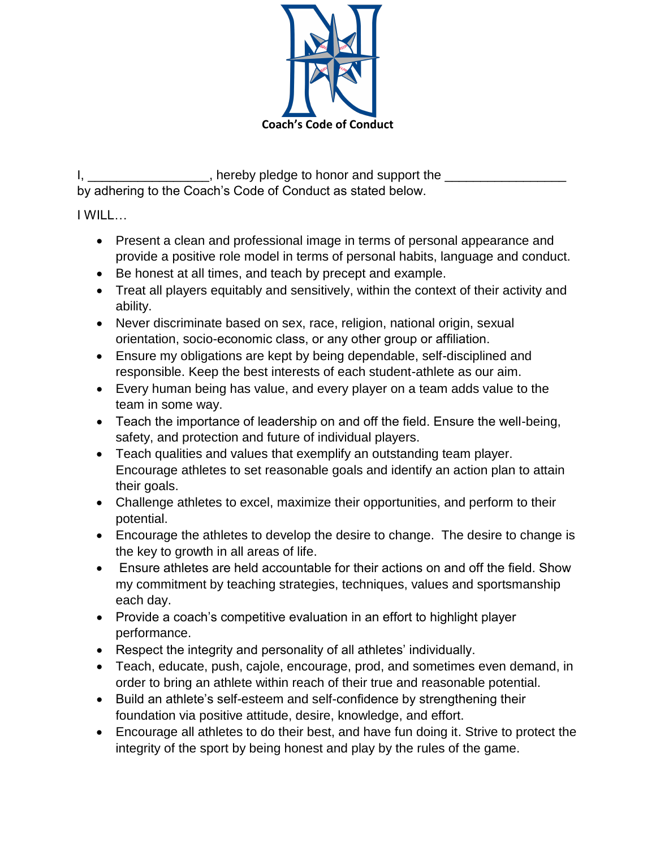

I, \_\_\_\_\_\_\_\_\_\_\_\_\_\_\_\_\_\_\_, hereby pledge to honor and support the \_\_\_\_\_\_\_\_\_\_\_\_\_\_\_\_\_ by adhering to the Coach's Code of Conduct as stated below.

I WILL…

- Present a clean and professional image in terms of personal appearance and provide a positive role model in terms of personal habits, language and conduct.
- Be honest at all times, and teach by precept and example.
- Treat all players equitably and sensitively, within the context of their activity and ability.
- Never discriminate based on sex, race, religion, national origin, sexual orientation, socio-economic class, or any other group or affiliation.
- Ensure my obligations are kept by being dependable, self-disciplined and responsible. Keep the best interests of each student-athlete as our aim.
- Every human being has value, and every player on a team adds value to the team in some way.
- Teach the importance of leadership on and off the field. Ensure the well-being, safety, and protection and future of individual players.
- Teach qualities and values that exemplify an outstanding team player. Encourage athletes to set reasonable goals and identify an action plan to attain their goals.
- Challenge athletes to excel, maximize their opportunities, and perform to their potential.
- Encourage the athletes to develop the desire to change. The desire to change is the key to growth in all areas of life.
- Ensure athletes are held accountable for their actions on and off the field. Show my commitment by teaching strategies, techniques, values and sportsmanship each day.
- Provide a coach's competitive evaluation in an effort to highlight player performance.
- Respect the integrity and personality of all athletes' individually.
- Teach, educate, push, cajole, encourage, prod, and sometimes even demand, in order to bring an athlete within reach of their true and reasonable potential.
- Build an athlete's self-esteem and self-confidence by strengthening their foundation via positive attitude, desire, knowledge, and effort.
- Encourage all athletes to do their best, and have fun doing it. Strive to protect the integrity of the sport by being honest and play by the rules of the game.